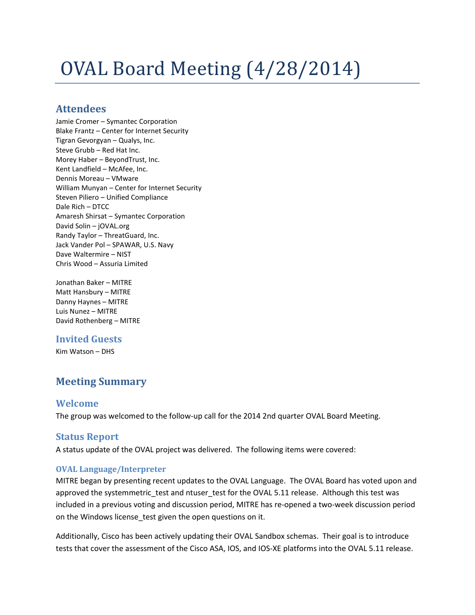# OVAL Board Meeting (4/28/2014)

# **Attendees**

Jamie Cromer – Symantec Corporation Blake Frantz – Center for Internet Security Tigran Gevorgyan – Qualys, Inc. Steve Grubb – Red Hat Inc. Morey Haber – BeyondTrust, Inc. Kent Landfield – McAfee, Inc. Dennis Moreau – VMware William Munyan – Center for Internet Security Steven Piliero – Unified Compliance Dale Rich – DTCC Amaresh Shirsat – Symantec Corporation David Solin – jOVAL.org Randy Taylor – ThreatGuard, Inc. Jack Vander Pol – SPAWAR, U.S. Navy Dave Waltermire – NIST Chris Wood – Assuria Limited

Jonathan Baker – MITRE Matt Hansbury – MITRE Danny Haynes – MITRE Luis Nunez – MITRE David Rothenberg – MITRE

# **Invited Guests**

Kim Watson – DHS

# **Meeting Summary**

# **Welcome**

The group was welcomed to the follow-up call for the 2014 2nd quarter OVAL Board Meeting.

# **Status Report**

A status update of the OVAL project was delivered. The following items were covered:

#### **OVAL Language/Interpreter**

MITRE began by presenting recent updates to the OVAL Language. The OVAL Board has voted upon and approved the systemmetric test and ntuser test for the OVAL 5.11 release. Although this test was included in a previous voting and discussion period, MITRE has re-opened a two-week discussion period on the Windows license\_test given the open questions on it.

Additionally, Cisco has been actively updating their OVAL Sandbox schemas. Their goal is to introduce tests that cover the assessment of the Cisco ASA, IOS, and IOS-XE platforms into the OVAL 5.11 release.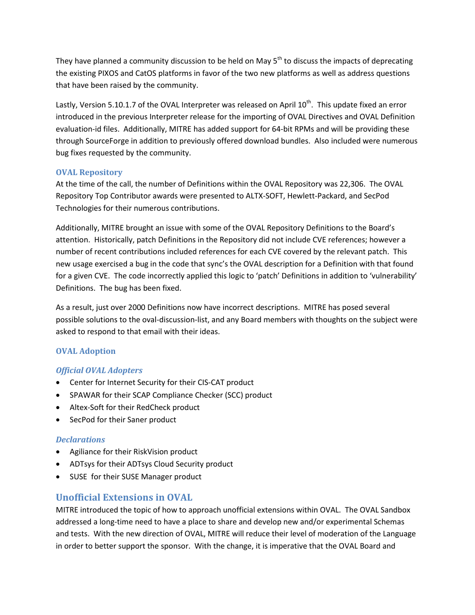They have planned a community discussion to be held on May  $5<sup>th</sup>$  to discuss the impacts of deprecating the existing PIXOS and CatOS platforms in favor of the two new platforms as well as address questions that have been raised by the community.

Lastly, Version 5.10.1.7 of the OVAL Interpreter was released on April 10<sup>th</sup>. This update fixed an error introduced in the previous Interpreter release for the importing of OVAL Directives and OVAL Definition evaluation-id files. Additionally, MITRE has added support for 64-bit RPMs and will be providing these through SourceForge in addition to previously offered download bundles. Also included were numerous bug fixes requested by the community.

#### **OVAL Repository**

At the time of the call, the number of Definitions within the OVAL Repository was 22,306. The OVAL Repository Top Contributor awards were presented to ALTX-SOFT, Hewlett-Packard, and SecPod Technologies for their numerous contributions.

Additionally, MITRE brought an issue with some of the OVAL Repository Definitions to the Board's attention. Historically, patch Definitions in the Repository did not include CVE references; however a number of recent contributions included references for each CVE covered by the relevant patch. This new usage exercised a bug in the code that sync's the OVAL description for a Definition with that found for a given CVE. The code incorrectly applied this logic to 'patch' Definitions in addition to 'vulnerability' Definitions. The bug has been fixed.

As a result, just over 2000 Definitions now have incorrect descriptions. MITRE has posed several possible solutions to the oval-discussion-list, and any Board members with thoughts on the subject were asked to respond to that email with their ideas.

#### **OVAL Adoption**

#### *Official OVAL Adopters*

- Center for Internet Security for their CIS-CAT product
- SPAWAR for their SCAP Compliance Checker (SCC) product
- Altex-Soft for their RedCheck product
- SecPod for their Saner product

#### *Declarations*

- Agiliance for their RiskVision product
- ADTsys for their ADTsys Cloud Security product
- SUSE for their SUSE Manager product

# **Unofficial Extensions in OVAL**

MITRE introduced the topic of how to approach unofficial extensions within OVAL. The OVAL Sandbox addressed a long-time need to have a place to share and develop new and/or experimental Schemas and tests. With the new direction of OVAL, MITRE will reduce their level of moderation of the Language in order to better support the sponsor. With the change, it is imperative that the OVAL Board and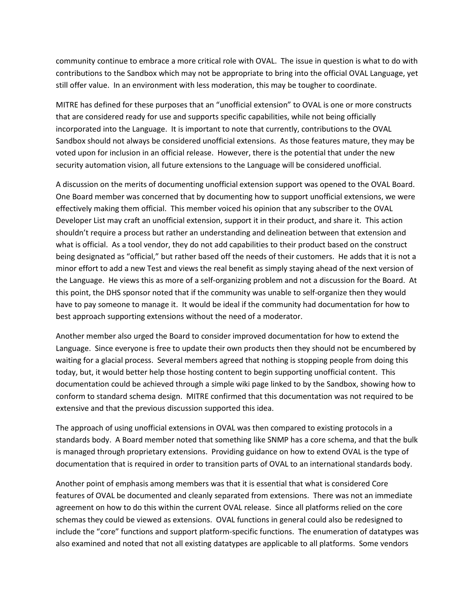community continue to embrace a more critical role with OVAL. The issue in question is what to do with contributions to the Sandbox which may not be appropriate to bring into the official OVAL Language, yet still offer value. In an environment with less moderation, this may be tougher to coordinate.

MITRE has defined for these purposes that an "unofficial extension" to OVAL is one or more constructs that are considered ready for use and supports specific capabilities, while not being officially incorporated into the Language. It is important to note that currently, contributions to the OVAL Sandbox should not always be considered unofficial extensions. As those features mature, they may be voted upon for inclusion in an official release. However, there is the potential that under the new security automation vision, all future extensions to the Language will be considered unofficial.

A discussion on the merits of documenting unofficial extension support was opened to the OVAL Board. One Board member was concerned that by documenting how to support unofficial extensions, we were effectively making them official. This member voiced his opinion that any subscriber to the OVAL Developer List may craft an unofficial extension, support it in their product, and share it. This action shouldn't require a process but rather an understanding and delineation between that extension and what is official. As a tool vendor, they do not add capabilities to their product based on the construct being designated as "official," but rather based off the needs of their customers. He adds that it is not a minor effort to add a new Test and views the real benefit as simply staying ahead of the next version of the Language. He views this as more of a self-organizing problem and not a discussion for the Board. At this point, the DHS sponsor noted that if the community was unable to self-organize then they would have to pay someone to manage it. It would be ideal if the community had documentation for how to best approach supporting extensions without the need of a moderator.

Another member also urged the Board to consider improved documentation for how to extend the Language. Since everyone is free to update their own products then they should not be encumbered by waiting for a glacial process. Several members agreed that nothing is stopping people from doing this today, but, it would better help those hosting content to begin supporting unofficial content. This documentation could be achieved through a simple wiki page linked to by the Sandbox, showing how to conform to standard schema design. MITRE confirmed that this documentation was not required to be extensive and that the previous discussion supported this idea.

The approach of using unofficial extensions in OVAL was then compared to existing protocols in a standards body. A Board member noted that something like SNMP has a core schema, and that the bulk is managed through proprietary extensions. Providing guidance on how to extend OVAL is the type of documentation that is required in order to transition parts of OVAL to an international standards body.

Another point of emphasis among members was that it is essential that what is considered Core features of OVAL be documented and cleanly separated from extensions. There was not an immediate agreement on how to do this within the current OVAL release. Since all platforms relied on the core schemas they could be viewed as extensions. OVAL functions in general could also be redesigned to include the "core" functions and support platform-specific functions. The enumeration of datatypes was also examined and noted that not all existing datatypes are applicable to all platforms. Some vendors